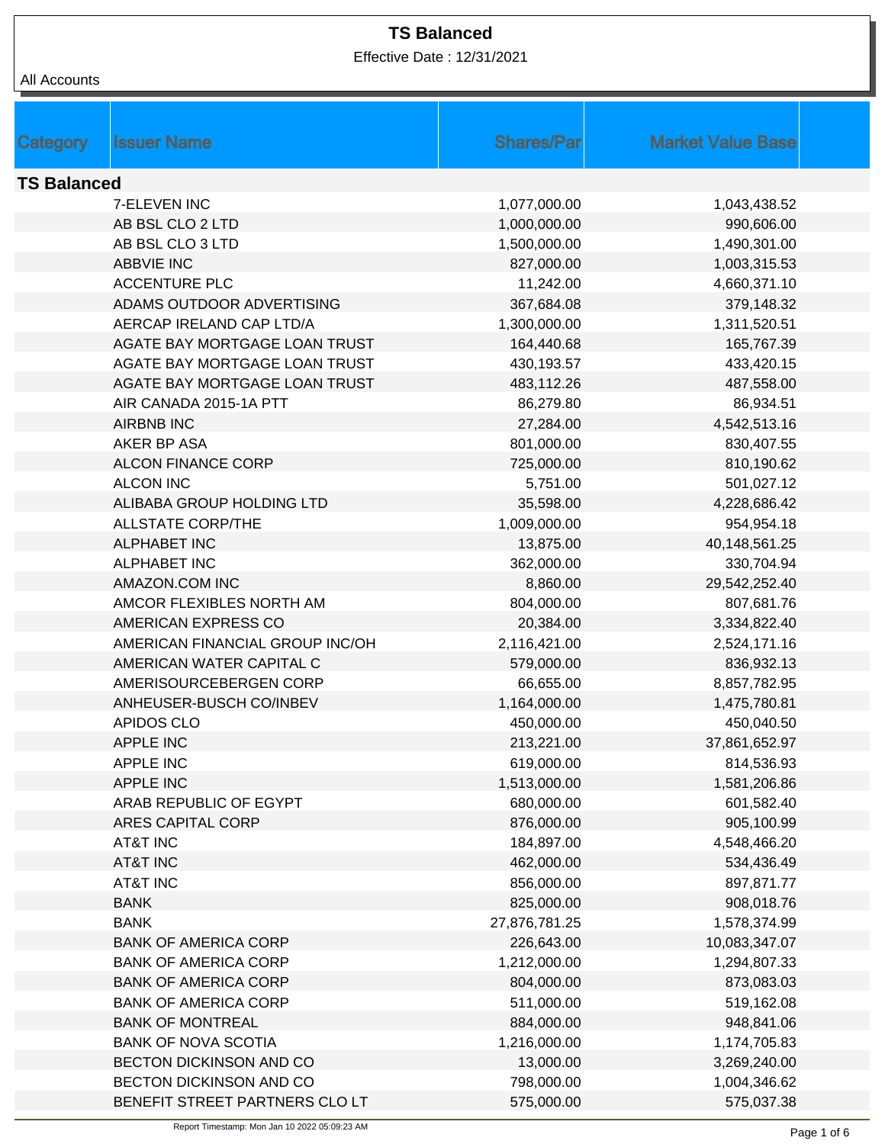Effective Date : 12/31/2021

|  | All Accounts |
|--|--------------|
|--|--------------|

| Category           | <b>Issuer Name</b>              | <b>Shares/Par</b> | <b>Market Value Base</b> |  |
|--------------------|---------------------------------|-------------------|--------------------------|--|
|                    |                                 |                   |                          |  |
| <b>TS Balanced</b> |                                 |                   |                          |  |
|                    | 7-ELEVEN INC                    | 1,077,000.00      | 1,043,438.52             |  |
|                    | AB BSL CLO 2 LTD                | 1,000,000.00      | 990,606.00               |  |
|                    | AB BSL CLO 3 LTD                | 1,500,000.00      | 1,490,301.00             |  |
|                    | <b>ABBVIE INC</b>               | 827,000.00        | 1,003,315.53             |  |
|                    | <b>ACCENTURE PLC</b>            | 11,242.00         | 4,660,371.10             |  |
|                    | ADAMS OUTDOOR ADVERTISING       | 367,684.08        | 379,148.32               |  |
|                    | AERCAP IRELAND CAP LTD/A        | 1,300,000.00      | 1,311,520.51             |  |
|                    | AGATE BAY MORTGAGE LOAN TRUST   | 164,440.68        | 165,767.39               |  |
|                    | AGATE BAY MORTGAGE LOAN TRUST   | 430,193.57        | 433,420.15               |  |
|                    | AGATE BAY MORTGAGE LOAN TRUST   | 483,112.26        | 487,558.00               |  |
|                    | AIR CANADA 2015-1A PTT          | 86,279.80         | 86,934.51                |  |
|                    | <b>AIRBNB INC</b>               | 27,284.00         | 4,542,513.16             |  |
|                    | AKER BP ASA                     | 801,000.00        | 830,407.55               |  |
|                    | <b>ALCON FINANCE CORP</b>       | 725,000.00        | 810,190.62               |  |
|                    | <b>ALCON INC</b>                | 5,751.00          | 501,027.12               |  |
|                    | ALIBABA GROUP HOLDING LTD       | 35,598.00         | 4,228,686.42             |  |
|                    | <b>ALLSTATE CORP/THE</b>        | 1,009,000.00      | 954,954.18               |  |
|                    | <b>ALPHABET INC</b>             | 13,875.00         | 40,148,561.25            |  |
|                    | <b>ALPHABET INC</b>             | 362,000.00        | 330,704.94               |  |
|                    | AMAZON.COM INC                  | 8,860.00          | 29,542,252.40            |  |
|                    | AMCOR FLEXIBLES NORTH AM        | 804,000.00        | 807,681.76               |  |
|                    | AMERICAN EXPRESS CO             | 20,384.00         | 3,334,822.40             |  |
|                    | AMERICAN FINANCIAL GROUP INC/OH | 2,116,421.00      | 2,524,171.16             |  |
|                    | AMERICAN WATER CAPITAL C        | 579,000.00        | 836,932.13               |  |
|                    | AMERISOURCEBERGEN CORP          | 66,655.00         | 8,857,782.95             |  |
|                    | ANHEUSER-BUSCH CO/INBEV         | 1,164,000.00      | 1,475,780.81             |  |
|                    | <b>APIDOS CLO</b>               | 450,000.00        | 450,040.50               |  |
|                    | <b>APPLE INC</b>                | 213,221.00        | 37,861,652.97            |  |
|                    | <b>APPLE INC</b>                | 619,000.00        | 814,536.93               |  |
|                    | <b>APPLE INC</b>                | 1,513,000.00      | 1,581,206.86             |  |
|                    | ARAB REPUBLIC OF EGYPT          | 680,000.00        | 601,582.40               |  |
|                    | <b>ARES CAPITAL CORP</b>        | 876,000.00        | 905,100.99               |  |
|                    | <b>AT&amp;T INC</b>             | 184,897.00        | 4,548,466.20             |  |
|                    | <b>AT&amp;T INC</b>             | 462,000.00        | 534,436.49               |  |
|                    | <b>AT&amp;T INC</b>             | 856,000.00        | 897,871.77               |  |
|                    | <b>BANK</b>                     | 825,000.00        | 908,018.76               |  |
|                    | <b>BANK</b>                     | 27,876,781.25     | 1,578,374.99             |  |
|                    | <b>BANK OF AMERICA CORP</b>     | 226,643.00        | 10,083,347.07            |  |
|                    | <b>BANK OF AMERICA CORP</b>     | 1,212,000.00      | 1,294,807.33             |  |
|                    | <b>BANK OF AMERICA CORP</b>     | 804,000.00        | 873,083.03               |  |
|                    | <b>BANK OF AMERICA CORP</b>     | 511,000.00        | 519,162.08               |  |
|                    | <b>BANK OF MONTREAL</b>         | 884,000.00        | 948,841.06               |  |
|                    | <b>BANK OF NOVA SCOTIA</b>      | 1,216,000.00      | 1,174,705.83             |  |
|                    | BECTON DICKINSON AND CO         | 13,000.00         | 3,269,240.00             |  |
|                    | BECTON DICKINSON AND CO         | 798,000.00        | 1,004,346.62             |  |
|                    | BENEFIT STREET PARTNERS CLO LT  | 575,000.00        | 575,037.38               |  |
|                    |                                 |                   |                          |  |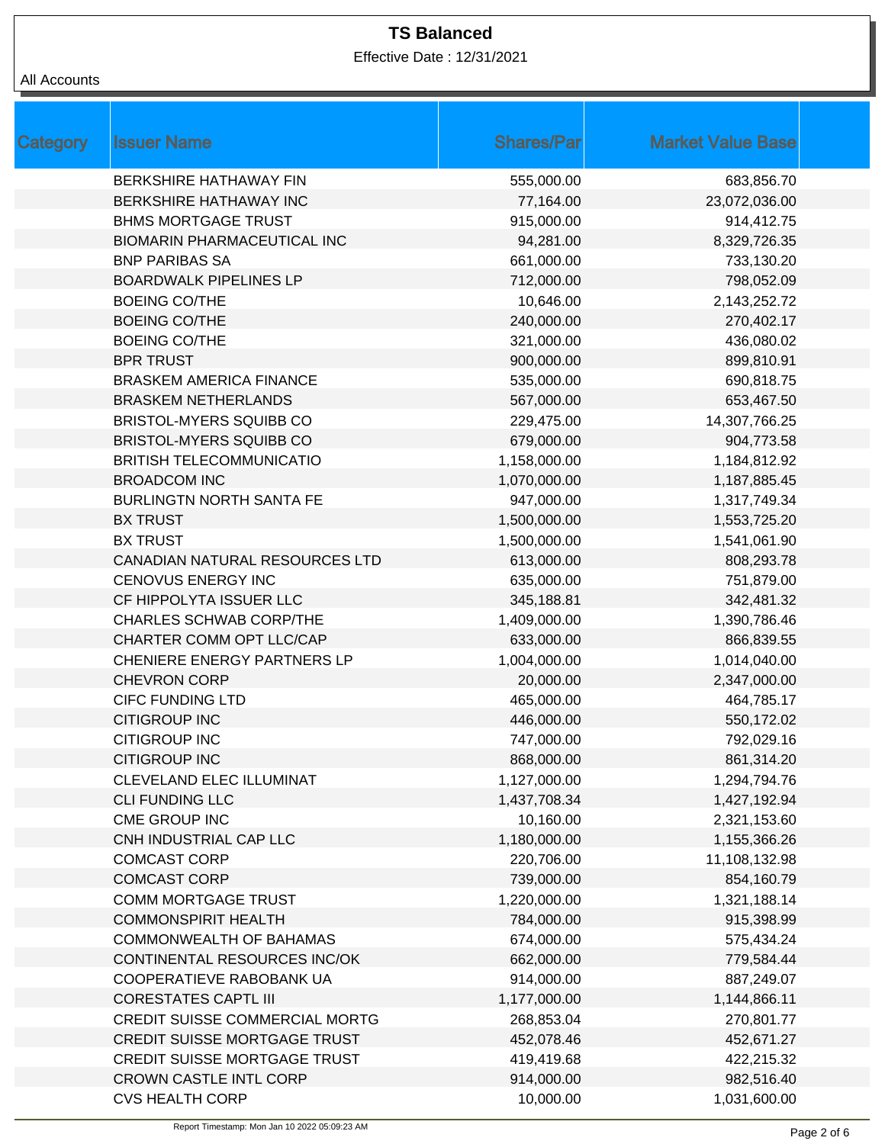Effective Date : 12/31/2021

| <b>Category</b> | <b>Issuer Name</b>                  | <b>Shares/Par</b> | <b>Market Value Base</b> |
|-----------------|-------------------------------------|-------------------|--------------------------|
|                 | <b>BERKSHIRE HATHAWAY FIN</b>       | 555,000.00        | 683,856.70               |
|                 | BERKSHIRE HATHAWAY INC              | 77,164.00         | 23,072,036.00            |
|                 | <b>BHMS MORTGAGE TRUST</b>          | 915,000.00        | 914,412.75               |
|                 | <b>BIOMARIN PHARMACEUTICAL INC</b>  | 94,281.00         | 8,329,726.35             |
|                 | <b>BNP PARIBAS SA</b>               | 661,000.00        | 733,130.20               |
|                 | <b>BOARDWALK PIPELINES LP</b>       | 712,000.00        | 798,052.09               |
|                 | <b>BOEING CO/THE</b>                | 10,646.00         | 2,143,252.72             |
|                 | <b>BOEING CO/THE</b>                | 240,000.00        | 270,402.17               |
|                 | <b>BOEING CO/THE</b>                | 321,000.00        | 436,080.02               |
|                 | <b>BPR TRUST</b>                    | 900,000.00        | 899,810.91               |
|                 | <b>BRASKEM AMERICA FINANCE</b>      | 535,000.00        | 690,818.75               |
|                 | <b>BRASKEM NETHERLANDS</b>          | 567,000.00        | 653,467.50               |
|                 | BRISTOL-MYERS SQUIBB CO             | 229,475.00        | 14,307,766.25            |
|                 | <b>BRISTOL-MYERS SQUIBB CO</b>      | 679,000.00        | 904,773.58               |
|                 | <b>BRITISH TELECOMMUNICATIO</b>     | 1,158,000.00      | 1,184,812.92             |
|                 | <b>BROADCOM INC</b>                 | 1,070,000.00      | 1,187,885.45             |
|                 | <b>BURLINGTN NORTH SANTA FE</b>     | 947,000.00        | 1,317,749.34             |
|                 | <b>BX TRUST</b>                     | 1,500,000.00      | 1,553,725.20             |
|                 | <b>BX TRUST</b>                     | 1,500,000.00      | 1,541,061.90             |
|                 | CANADIAN NATURAL RESOURCES LTD      | 613,000.00        | 808,293.78               |
|                 | <b>CENOVUS ENERGY INC</b>           | 635,000.00        | 751,879.00               |
|                 | CF HIPPOLYTA ISSUER LLC             | 345,188.81        | 342,481.32               |
|                 | <b>CHARLES SCHWAB CORP/THE</b>      | 1,409,000.00      | 1,390,786.46             |
|                 | CHARTER COMM OPT LLC/CAP            | 633,000.00        | 866,839.55               |
|                 | <b>CHENIERE ENERGY PARTNERS LP</b>  | 1,004,000.00      | 1,014,040.00             |
|                 | <b>CHEVRON CORP</b>                 | 20,000.00         | 2,347,000.00             |
|                 | <b>CIFC FUNDING LTD</b>             | 465,000.00        | 464,785.17               |
|                 | <b>CITIGROUP INC</b>                | 446,000.00        | 550,172.02               |
|                 | <b>CITIGROUP INC</b>                | 747,000.00        | 792,029.16               |
|                 | <b>CITIGROUP INC</b>                | 868,000.00        | 861,314.20               |
|                 | CLEVELAND ELEC ILLUMINAT            | 1,127,000.00      | 1,294,794.76             |
|                 | <b>CLI FUNDING LLC</b>              | 1,437,708.34      | 1,427,192.94             |
|                 | CME GROUP INC                       | 10,160.00         | 2,321,153.60             |
|                 | CNH INDUSTRIAL CAP LLC              | 1,180,000.00      | 1,155,366.26             |
|                 | <b>COMCAST CORP</b>                 | 220,706.00        | 11,108,132.98            |
|                 | <b>COMCAST CORP</b>                 | 739,000.00        | 854,160.79               |
|                 | <b>COMM MORTGAGE TRUST</b>          | 1,220,000.00      | 1,321,188.14             |
|                 | <b>COMMONSPIRIT HEALTH</b>          | 784,000.00        | 915,398.99               |
|                 | COMMONWEALTH OF BAHAMAS             | 674,000.00        | 575,434.24               |
|                 | CONTINENTAL RESOURCES INC/OK        | 662,000.00        | 779,584.44               |
|                 | COOPERATIEVE RABOBANK UA            | 914,000.00        | 887,249.07               |
|                 | <b>CORESTATES CAPTL III</b>         | 1,177,000.00      | 1,144,866.11             |
|                 | CREDIT SUISSE COMMERCIAL MORTG      | 268,853.04        | 270,801.77               |
|                 | CREDIT SUISSE MORTGAGE TRUST        | 452,078.46        | 452,671.27               |
|                 | <b>CREDIT SUISSE MORTGAGE TRUST</b> | 419,419.68        | 422,215.32               |
|                 | <b>CROWN CASTLE INTL CORP</b>       | 914,000.00        | 982,516.40               |
|                 | <b>CVS HEALTH CORP</b>              | 10,000.00         | 1,031,600.00             |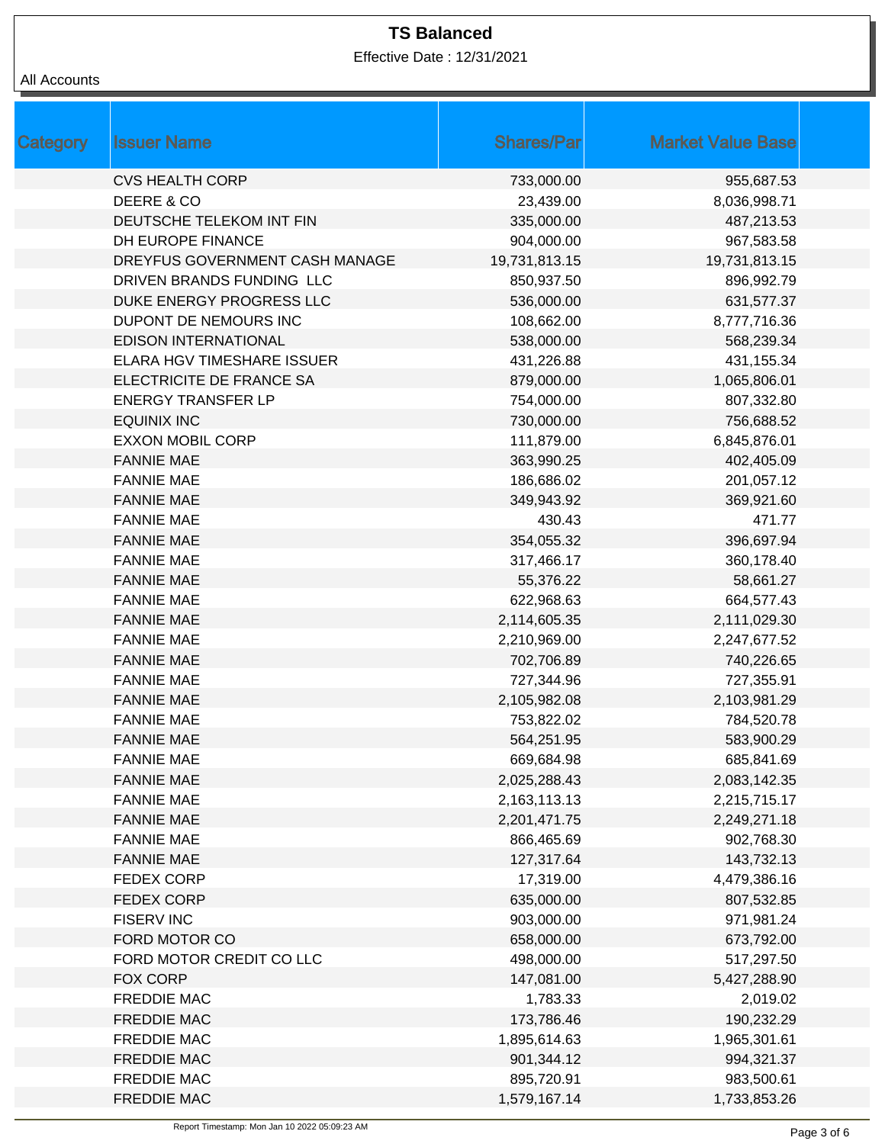Effective Date : 12/31/2021

| All Accounts |  |
|--------------|--|
|--------------|--|

| Category | <b>Issuer Name</b>             | <b>Shares/Par</b> | <b>Market Value Base</b> |
|----------|--------------------------------|-------------------|--------------------------|
|          | <b>CVS HEALTH CORP</b>         | 733,000.00        | 955,687.53               |
|          | DEERE & CO                     | 23,439.00         | 8,036,998.71             |
|          | DEUTSCHE TELEKOM INT FIN       | 335,000.00        | 487,213.53               |
|          | DH EUROPE FINANCE              | 904,000.00        | 967,583.58               |
|          | DREYFUS GOVERNMENT CASH MANAGE | 19,731,813.15     | 19,731,813.15            |
|          | DRIVEN BRANDS FUNDING LLC      | 850,937.50        | 896,992.79               |
|          | DUKE ENERGY PROGRESS LLC       | 536,000.00        | 631,577.37               |
|          | DUPONT DE NEMOURS INC          | 108,662.00        | 8,777,716.36             |
|          | <b>EDISON INTERNATIONAL</b>    | 538,000.00        | 568,239.34               |
|          | ELARA HGV TIMESHARE ISSUER     | 431,226.88        | 431,155.34               |
|          | ELECTRICITE DE FRANCE SA       | 879,000.00        | 1,065,806.01             |
|          | <b>ENERGY TRANSFER LP</b>      | 754,000.00        | 807,332.80               |
|          | <b>EQUINIX INC</b>             | 730,000.00        | 756,688.52               |
|          | <b>EXXON MOBIL CORP</b>        | 111,879.00        | 6,845,876.01             |
|          | <b>FANNIE MAE</b>              | 363,990.25        | 402,405.09               |
|          | <b>FANNIE MAE</b>              | 186,686.02        | 201,057.12               |
|          | <b>FANNIE MAE</b>              | 349,943.92        | 369,921.60               |
|          | <b>FANNIE MAE</b>              | 430.43            | 471.77                   |
|          | <b>FANNIE MAE</b>              | 354,055.32        | 396,697.94               |
|          | <b>FANNIE MAE</b>              | 317,466.17        | 360,178.40               |
|          | <b>FANNIE MAE</b>              | 55,376.22         | 58,661.27                |
|          | <b>FANNIE MAE</b>              | 622,968.63        | 664,577.43               |
|          | <b>FANNIE MAE</b>              | 2,114,605.35      | 2,111,029.30             |
|          | <b>FANNIE MAE</b>              | 2,210,969.00      | 2,247,677.52             |
|          | <b>FANNIE MAE</b>              | 702,706.89        | 740,226.65               |
|          | <b>FANNIE MAE</b>              | 727,344.96        | 727,355.91               |
|          | <b>FANNIE MAE</b>              | 2,105,982.08      | 2,103,981.29             |
|          | <b>FANNIE MAE</b>              | 753,822.02        | 784,520.78               |
|          | <b>FANNIE MAE</b>              | 564,251.95        | 583,900.29               |
|          | <b>FANNIE MAE</b>              | 669,684.98        | 685,841.69               |
|          | <b>FANNIE MAE</b>              | 2,025,288.43      | 2,083,142.35             |
|          | <b>FANNIE MAE</b>              | 2,163,113.13      | 2,215,715.17             |
|          | <b>FANNIE MAE</b>              | 2,201,471.75      | 2,249,271.18             |
|          | <b>FANNIE MAE</b>              | 866,465.69        | 902,768.30               |
|          | <b>FANNIE MAE</b>              | 127,317.64        | 143,732.13               |
|          | <b>FEDEX CORP</b>              | 17,319.00         | 4,479,386.16             |
|          | <b>FEDEX CORP</b>              | 635,000.00        | 807,532.85               |
|          | <b>FISERV INC</b>              | 903,000.00        | 971,981.24               |
|          | FORD MOTOR CO                  | 658,000.00        | 673,792.00               |
|          | FORD MOTOR CREDIT CO LLC       | 498,000.00        | 517,297.50               |
|          | FOX CORP                       | 147,081.00        | 5,427,288.90             |
|          | <b>FREDDIE MAC</b>             | 1,783.33          | 2,019.02                 |
|          | <b>FREDDIE MAC</b>             | 173,786.46        | 190,232.29               |
|          | <b>FREDDIE MAC</b>             | 1,895,614.63      | 1,965,301.61             |
|          | <b>FREDDIE MAC</b>             | 901,344.12        | 994,321.37               |
|          | <b>FREDDIE MAC</b>             | 895,720.91        | 983,500.61               |
|          | <b>FREDDIE MAC</b>             | 1,579,167.14      | 1,733,853.26             |
|          |                                |                   |                          |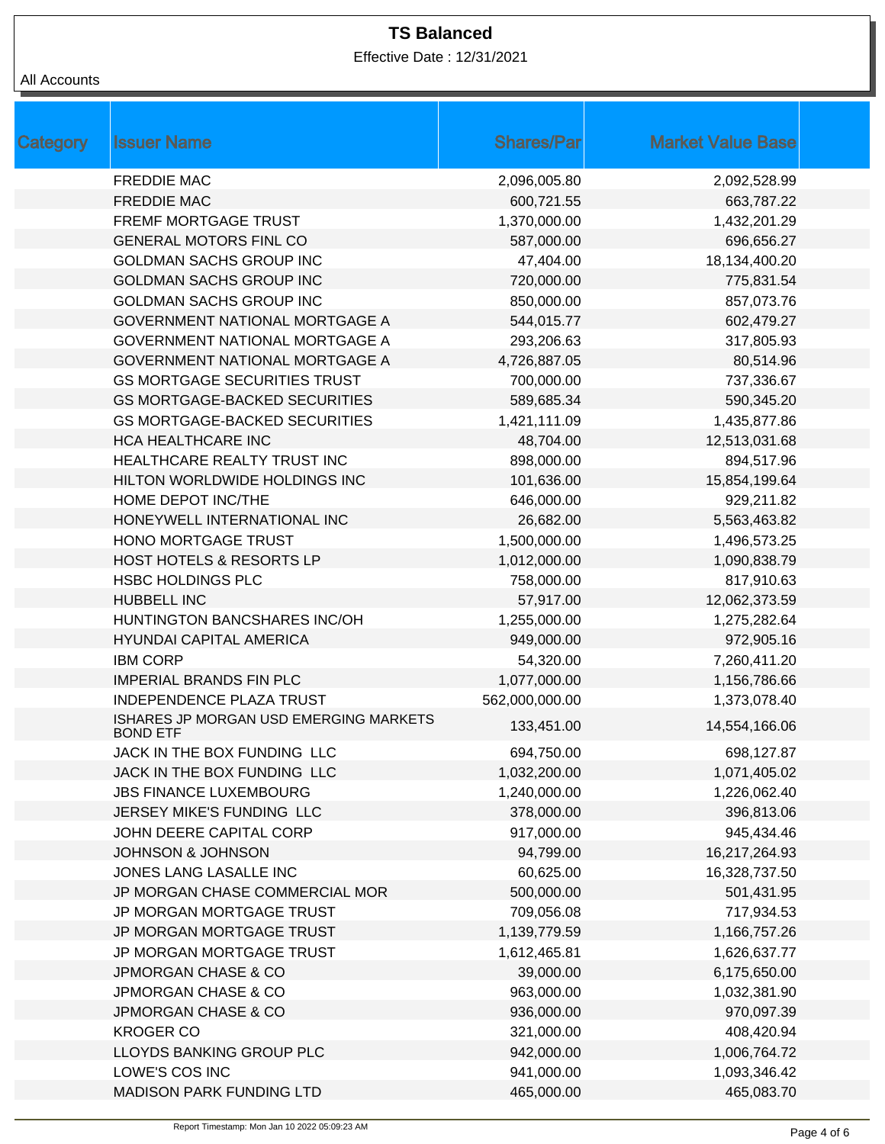Effective Date : 12/31/2021

| Category | <b>Issuer Name</b>                                        | <b>Shares/Par</b> | <b>Market Value Base</b> |  |
|----------|-----------------------------------------------------------|-------------------|--------------------------|--|
|          | <b>FREDDIE MAC</b>                                        | 2,096,005.80      | 2,092,528.99             |  |
|          | <b>FREDDIE MAC</b>                                        | 600,721.55        | 663,787.22               |  |
|          | FREMF MORTGAGE TRUST                                      | 1,370,000.00      | 1,432,201.29             |  |
|          | <b>GENERAL MOTORS FINL CO</b>                             | 587,000.00        | 696,656.27               |  |
|          | <b>GOLDMAN SACHS GROUP INC</b>                            | 47,404.00         | 18,134,400.20            |  |
|          | <b>GOLDMAN SACHS GROUP INC</b>                            | 720,000.00        | 775,831.54               |  |
|          | <b>GOLDMAN SACHS GROUP INC</b>                            | 850,000.00        | 857,073.76               |  |
|          | <b>GOVERNMENT NATIONAL MORTGAGE A</b>                     | 544,015.77        | 602,479.27               |  |
|          | <b>GOVERNMENT NATIONAL MORTGAGE A</b>                     | 293,206.63        | 317,805.93               |  |
|          | <b>GOVERNMENT NATIONAL MORTGAGE A</b>                     | 4,726,887.05      | 80,514.96                |  |
|          | <b>GS MORTGAGE SECURITIES TRUST</b>                       | 700,000.00        | 737,336.67               |  |
|          | <b>GS MORTGAGE-BACKED SECURITIES</b>                      | 589,685.34        | 590,345.20               |  |
|          | <b>GS MORTGAGE-BACKED SECURITIES</b>                      | 1,421,111.09      | 1,435,877.86             |  |
|          | HCA HEALTHCARE INC                                        | 48,704.00         | 12,513,031.68            |  |
|          | HEALTHCARE REALTY TRUST INC                               | 898,000.00        | 894,517.96               |  |
|          | HILTON WORLDWIDE HOLDINGS INC                             | 101,636.00        | 15,854,199.64            |  |
|          | HOME DEPOT INC/THE                                        | 646,000.00        | 929,211.82               |  |
|          | HONEYWELL INTERNATIONAL INC                               | 26,682.00         | 5,563,463.82             |  |
|          | HONO MORTGAGE TRUST                                       | 1,500,000.00      | 1,496,573.25             |  |
|          | HOST HOTELS & RESORTS LP                                  | 1,012,000.00      | 1,090,838.79             |  |
|          | <b>HSBC HOLDINGS PLC</b>                                  | 758,000.00        | 817,910.63               |  |
|          | <b>HUBBELL INC</b>                                        | 57,917.00         | 12,062,373.59            |  |
|          | HUNTINGTON BANCSHARES INC/OH                              | 1,255,000.00      | 1,275,282.64             |  |
|          | <b>HYUNDAI CAPITAL AMERICA</b>                            | 949,000.00        | 972,905.16               |  |
|          | <b>IBM CORP</b>                                           | 54,320.00         | 7,260,411.20             |  |
|          | <b>IMPERIAL BRANDS FIN PLC</b>                            | 1,077,000.00      | 1,156,786.66             |  |
|          | <b>INDEPENDENCE PLAZA TRUST</b>                           | 562,000,000.00    | 1,373,078.40             |  |
|          | ISHARES JP MORGAN USD EMERGING MARKETS<br><b>BOND ETF</b> | 133,451.00        | 14,554,166.06            |  |
|          | JACK IN THE BOX FUNDING LLC                               | 694,750.00        | 698,127.87               |  |
|          | JACK IN THE BOX FUNDING LLC                               | 1,032,200.00      | 1,071,405.02             |  |
|          | <b>JBS FINANCE LUXEMBOURG</b>                             | 1,240,000.00      | 1,226,062.40             |  |
|          | JERSEY MIKE'S FUNDING LLC                                 | 378,000.00        | 396,813.06               |  |
|          | JOHN DEERE CAPITAL CORP                                   | 917,000.00        | 945,434.46               |  |
|          | <b>JOHNSON &amp; JOHNSON</b>                              | 94,799.00         | 16,217,264.93            |  |
|          | JONES LANG LASALLE INC                                    | 60,625.00         | 16,328,737.50            |  |
|          | JP MORGAN CHASE COMMERCIAL MOR                            | 500,000.00        | 501,431.95               |  |
|          | JP MORGAN MORTGAGE TRUST                                  | 709,056.08        | 717,934.53               |  |
|          | JP MORGAN MORTGAGE TRUST                                  | 1,139,779.59      | 1,166,757.26             |  |
|          | JP MORGAN MORTGAGE TRUST                                  | 1,612,465.81      | 1,626,637.77             |  |
|          | JPMORGAN CHASE & CO                                       | 39,000.00         | 6,175,650.00             |  |
|          | <b>JPMORGAN CHASE &amp; CO</b>                            | 963,000.00        | 1,032,381.90             |  |
|          | <b>JPMORGAN CHASE &amp; CO</b>                            | 936,000.00        | 970,097.39               |  |
|          | <b>KROGER CO</b>                                          | 321,000.00        | 408,420.94               |  |
|          | LLOYDS BANKING GROUP PLC                                  | 942,000.00        | 1,006,764.72             |  |
|          | LOWE'S COS INC                                            | 941,000.00        | 1,093,346.42             |  |
|          | <b>MADISON PARK FUNDING LTD</b>                           | 465,000.00        | 465,083.70               |  |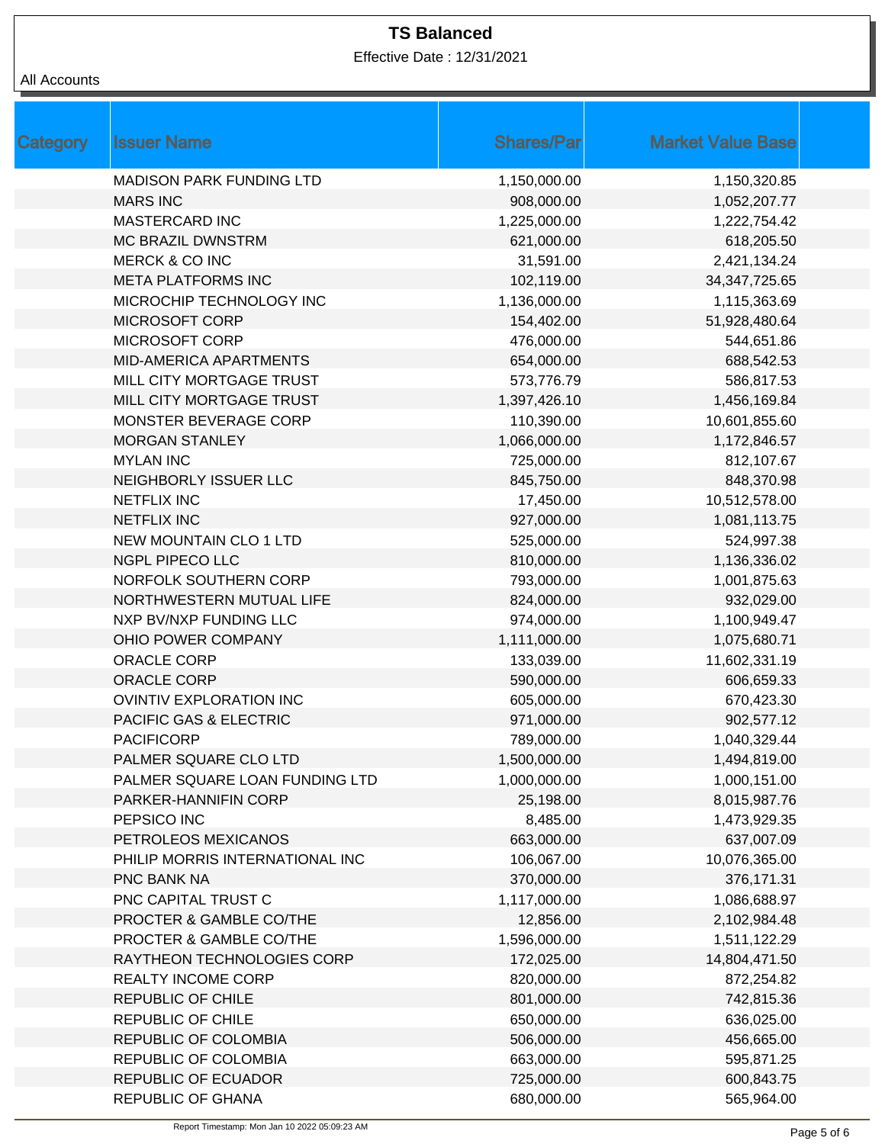Effective Date : 12/31/2021

| <b>Category</b> | <b>Issuer Name</b>              | <b>Shares/Par</b> | <b>Market Value Base</b> |
|-----------------|---------------------------------|-------------------|--------------------------|
|                 | <b>MADISON PARK FUNDING LTD</b> | 1,150,000.00      | 1,150,320.85             |
|                 | <b>MARS INC</b>                 | 908,000.00        | 1,052,207.77             |
|                 | <b>MASTERCARD INC</b>           | 1,225,000.00      | 1,222,754.42             |
|                 | <b>MC BRAZIL DWNSTRM</b>        | 621,000.00        | 618,205.50               |
|                 | MERCK & CO INC                  | 31,591.00         | 2,421,134.24             |
|                 | <b>META PLATFORMS INC</b>       | 102,119.00        | 34, 347, 725. 65         |
|                 | MICROCHIP TECHNOLOGY INC        | 1,136,000.00      | 1,115,363.69             |
|                 | <b>MICROSOFT CORP</b>           | 154,402.00        | 51,928,480.64            |
|                 | <b>MICROSOFT CORP</b>           | 476,000.00        | 544,651.86               |
|                 | <b>MID-AMERICA APARTMENTS</b>   | 654,000.00        | 688,542.53               |
|                 | MILL CITY MORTGAGE TRUST        | 573,776.79        | 586,817.53               |
|                 | MILL CITY MORTGAGE TRUST        | 1,397,426.10      | 1,456,169.84             |
|                 | MONSTER BEVERAGE CORP           | 110,390.00        | 10,601,855.60            |
|                 | <b>MORGAN STANLEY</b>           | 1,066,000.00      | 1,172,846.57             |
|                 | <b>MYLAN INC</b>                | 725,000.00        | 812,107.67               |
|                 | NEIGHBORLY ISSUER LLC           | 845,750.00        | 848,370.98               |
|                 | <b>NETFLIX INC</b>              | 17,450.00         | 10,512,578.00            |
|                 | <b>NETFLIX INC</b>              | 927,000.00        | 1,081,113.75             |
|                 | <b>NEW MOUNTAIN CLO 1 LTD</b>   | 525,000.00        | 524,997.38               |
|                 | NGPL PIPECO LLC                 | 810,000.00        | 1,136,336.02             |
|                 | NORFOLK SOUTHERN CORP           | 793,000.00        | 1,001,875.63             |
|                 | NORTHWESTERN MUTUAL LIFE        | 824,000.00        | 932,029.00               |
|                 | NXP BV/NXP FUNDING LLC          | 974,000.00        | 1,100,949.47             |
|                 | OHIO POWER COMPANY              | 1,111,000.00      | 1,075,680.71             |
|                 | <b>ORACLE CORP</b>              | 133,039.00        | 11,602,331.19            |
|                 | <b>ORACLE CORP</b>              | 590,000.00        | 606,659.33               |
|                 | <b>OVINTIV EXPLORATION INC</b>  | 605,000.00        | 670,423.30               |
|                 | PACIFIC GAS & ELECTRIC          | 971,000.00        | 902,577.12               |
|                 | <b>PACIFICORP</b>               | 789,000.00        | 1,040,329.44             |
|                 | PALMER SQUARE CLO LTD           | 1,500,000.00      | 1,494,819.00             |
|                 | PALMER SQUARE LOAN FUNDING LTD  | 1,000,000.00      | 1,000,151.00             |
|                 | PARKER-HANNIFIN CORP            | 25,198.00         | 8,015,987.76             |
|                 | PEPSICO INC                     | 8,485.00          | 1,473,929.35             |
|                 | PETROLEOS MEXICANOS             | 663,000.00        | 637,007.09               |
|                 | PHILIP MORRIS INTERNATIONAL INC | 106,067.00        | 10,076,365.00            |
|                 | PNC BANK NA                     | 370,000.00        | 376,171.31               |
|                 | PNC CAPITAL TRUST C             | 1,117,000.00      | 1,086,688.97             |
|                 | PROCTER & GAMBLE CO/THE         | 12,856.00         | 2,102,984.48             |
|                 | PROCTER & GAMBLE CO/THE         | 1,596,000.00      | 1,511,122.29             |
|                 | RAYTHEON TECHNOLOGIES CORP      | 172,025.00        | 14,804,471.50            |
|                 | REALTY INCOME CORP              | 820,000.00        | 872,254.82               |
|                 | REPUBLIC OF CHILE               | 801,000.00        | 742,815.36               |
|                 | REPUBLIC OF CHILE               | 650,000.00        | 636,025.00               |
|                 | REPUBLIC OF COLOMBIA            | 506,000.00        | 456,665.00               |
|                 | REPUBLIC OF COLOMBIA            | 663,000.00        | 595,871.25               |
|                 | <b>REPUBLIC OF ECUADOR</b>      | 725,000.00        | 600,843.75               |
|                 | REPUBLIC OF GHANA               | 680,000.00        | 565,964.00               |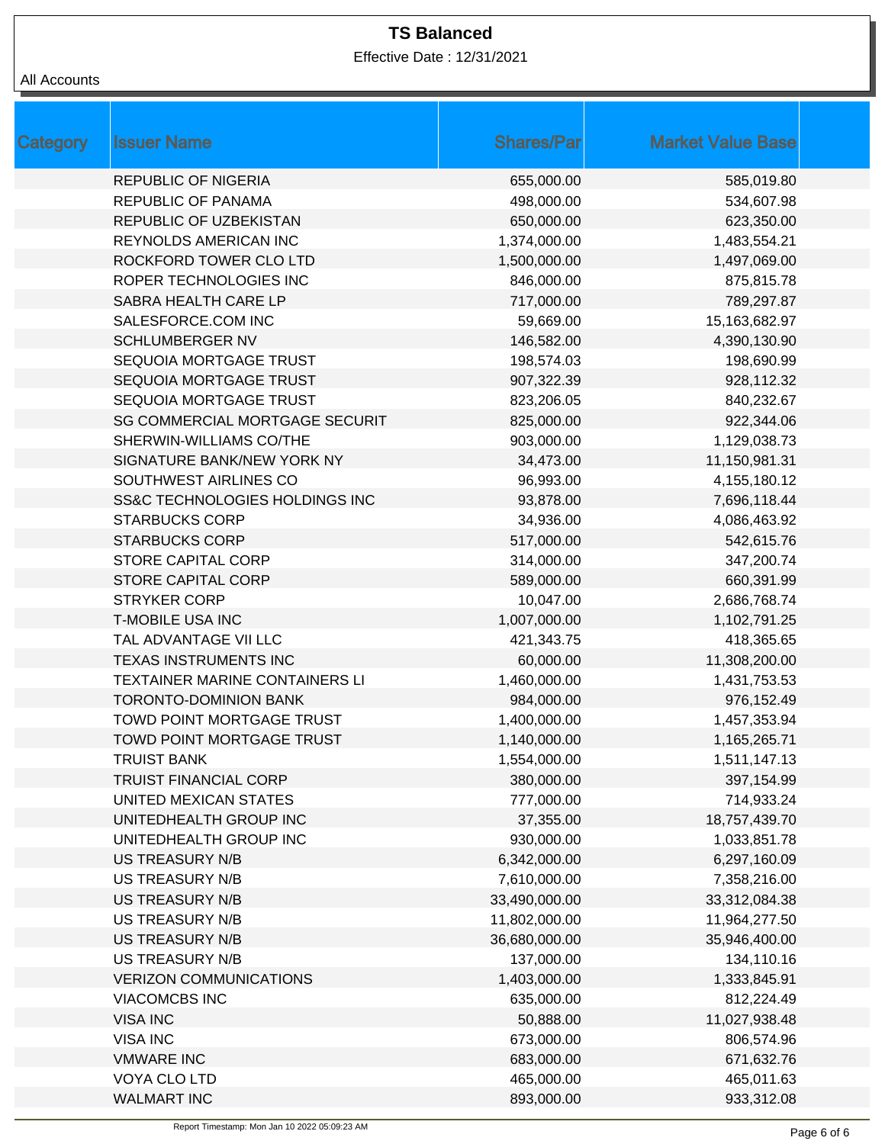Effective Date : 12/31/2021

| Category | <b>Issuer Name</b>                    | <b>Shares/Par</b> | <b>Market Value Base</b> |  |
|----------|---------------------------------------|-------------------|--------------------------|--|
|          | <b>REPUBLIC OF NIGERIA</b>            | 655,000.00        | 585,019.80               |  |
|          | REPUBLIC OF PANAMA                    | 498,000.00        | 534,607.98               |  |
|          | REPUBLIC OF UZBEKISTAN                | 650,000.00        | 623,350.00               |  |
|          | REYNOLDS AMERICAN INC                 | 1,374,000.00      | 1,483,554.21             |  |
|          | ROCKFORD TOWER CLO LTD                | 1,500,000.00      | 1,497,069.00             |  |
|          | ROPER TECHNOLOGIES INC                | 846,000.00        | 875,815.78               |  |
|          | <b>SABRA HEALTH CARE LP</b>           | 717,000.00        | 789,297.87               |  |
|          | SALESFORCE.COM INC                    | 59,669.00         | 15,163,682.97            |  |
|          | <b>SCHLUMBERGER NV</b>                | 146,582.00        | 4,390,130.90             |  |
|          | SEQUOIA MORTGAGE TRUST                | 198,574.03        | 198,690.99               |  |
|          | SEQUOIA MORTGAGE TRUST                | 907,322.39        | 928,112.32               |  |
|          | SEQUOIA MORTGAGE TRUST                | 823,206.05        | 840,232.67               |  |
|          | <b>SG COMMERCIAL MORTGAGE SECURIT</b> | 825,000.00        | 922,344.06               |  |
|          | SHERWIN-WILLIAMS CO/THE               | 903,000.00        | 1,129,038.73             |  |
|          | SIGNATURE BANK/NEW YORK NY            | 34,473.00         | 11,150,981.31            |  |
|          | SOUTHWEST AIRLINES CO                 | 96,993.00         | 4,155,180.12             |  |
|          | SS&C TECHNOLOGIES HOLDINGS INC        | 93,878.00         | 7,696,118.44             |  |
|          | <b>STARBUCKS CORP</b>                 | 34,936.00         | 4,086,463.92             |  |
|          | <b>STARBUCKS CORP</b>                 | 517,000.00        | 542,615.76               |  |
|          | STORE CAPITAL CORP                    | 314,000.00        | 347,200.74               |  |
|          | <b>STORE CAPITAL CORP</b>             | 589,000.00        | 660,391.99               |  |
|          | <b>STRYKER CORP</b>                   | 10,047.00         | 2,686,768.74             |  |
|          | <b>T-MOBILE USA INC</b>               | 1,007,000.00      | 1,102,791.25             |  |
|          | TAL ADVANTAGE VII LLC                 | 421,343.75        | 418,365.65               |  |
|          | <b>TEXAS INSTRUMENTS INC</b>          | 60,000.00         | 11,308,200.00            |  |
|          | TEXTAINER MARINE CONTAINERS LI        | 1,460,000.00      | 1,431,753.53             |  |
|          | TORONTO-DOMINION BANK                 | 984,000.00        | 976,152.49               |  |
|          | TOWD POINT MORTGAGE TRUST             | 1,400,000.00      | 1,457,353.94             |  |
|          | TOWD POINT MORTGAGE TRUST             | 1,140,000.00      | 1,165,265.71             |  |
|          | <b>TRUIST BANK</b>                    | 1,554,000.00      | 1,511,147.13             |  |
|          | <b>TRUIST FINANCIAL CORP</b>          | 380,000.00        | 397,154.99               |  |
|          | UNITED MEXICAN STATES                 | 777,000.00        | 714,933.24               |  |
|          | UNITEDHEALTH GROUP INC                | 37,355.00         | 18,757,439.70            |  |
|          | UNITEDHEALTH GROUP INC                | 930,000.00        | 1,033,851.78             |  |
|          | <b>US TREASURY N/B</b>                | 6,342,000.00      | 6,297,160.09             |  |
|          | <b>US TREASURY N/B</b>                | 7,610,000.00      | 7,358,216.00             |  |
|          | <b>US TREASURY N/B</b>                | 33,490,000.00     | 33,312,084.38            |  |
|          | <b>US TREASURY N/B</b>                | 11,802,000.00     | 11,964,277.50            |  |
|          | <b>US TREASURY N/B</b>                | 36,680,000.00     | 35,946,400.00            |  |
|          | <b>US TREASURY N/B</b>                | 137,000.00        | 134,110.16               |  |
|          | <b>VERIZON COMMUNICATIONS</b>         | 1,403,000.00      | 1,333,845.91             |  |
|          | <b>VIACOMCBS INC</b>                  | 635,000.00        | 812,224.49               |  |
|          | <b>VISA INC</b>                       | 50,888.00         | 11,027,938.48            |  |
|          | <b>VISA INC</b>                       | 673,000.00        | 806,574.96               |  |
|          | <b>VMWARE INC</b>                     | 683,000.00        | 671,632.76               |  |
|          | VOYA CLO LTD                          | 465,000.00        | 465,011.63               |  |
|          | <b>WALMART INC</b>                    | 893,000.00        | 933,312.08               |  |